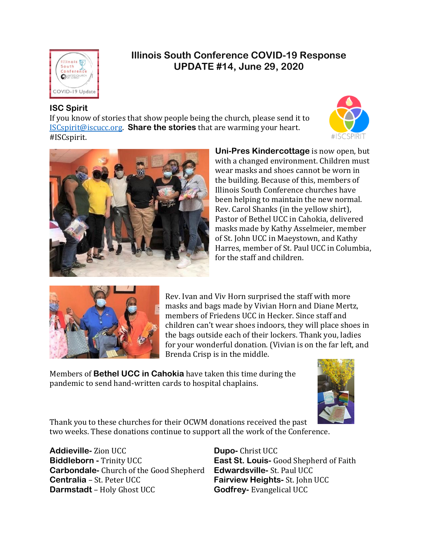

# **Illinois South Conference COVID-19 Response UPDATE #14, June 29, 2020**

# **ISC Spirit**

If you know of stories that show people being the church, please send it to [ISCspirit@iscucc.org.](mailto:ISCspirit@iscucc.org) **Share the stories** that are warming your heart. #ISCspirit.





**Uni-Pres Kindercottage** is now open, but with a changed environment. Children must wear masks and shoes cannot be worn in the building. Because of this, members of Illinois South Conference churches have been helping to maintain the new normal. Rev. Carol Shanks (in the yellow shirt), Pastor of Bethel UCC in Cahokia, delivered masks made by Kathy Asselmeier, member of St. John UCC in Maeystown, and Kathy Harres, member of St. Paul UCC in Columbia, for the staff and children.



Rev. Ivan and Viv Horn surprised the staff with more masks and bags made by Vivian Horn and Diane Mertz, members of Friedens UCC in Hecker. Since staff and children can't wear shoes indoors, they will place shoes in the bags outside each of their lockers. Thank you, ladies for your wonderful donation. (Vivian is on the far left, and Brenda Crisp is in the middle.

Members of **Bethel UCC in Cahokia** have taken this time during the pandemic to send hand-written cards to hospital chaplains.



Thank you to these churches for their OCWM donations received the past two weeks. These donations continue to support all the work of the Conference.

**Addieville-** Zion UCC **Biddleborn -** Trinity UCC **Carbondale-** Church of the Good Shepherd **Centralia** – St. Peter UCC **Darmstadt** – Holy Ghost UCC

**Dupo-** Christ UCC **East St. Louis-** Good Shepherd of Faith **Edwardsville-** St. Paul UCC **Fairview Heights-** St. John UCC **Godfrey-** Evangelical UCC